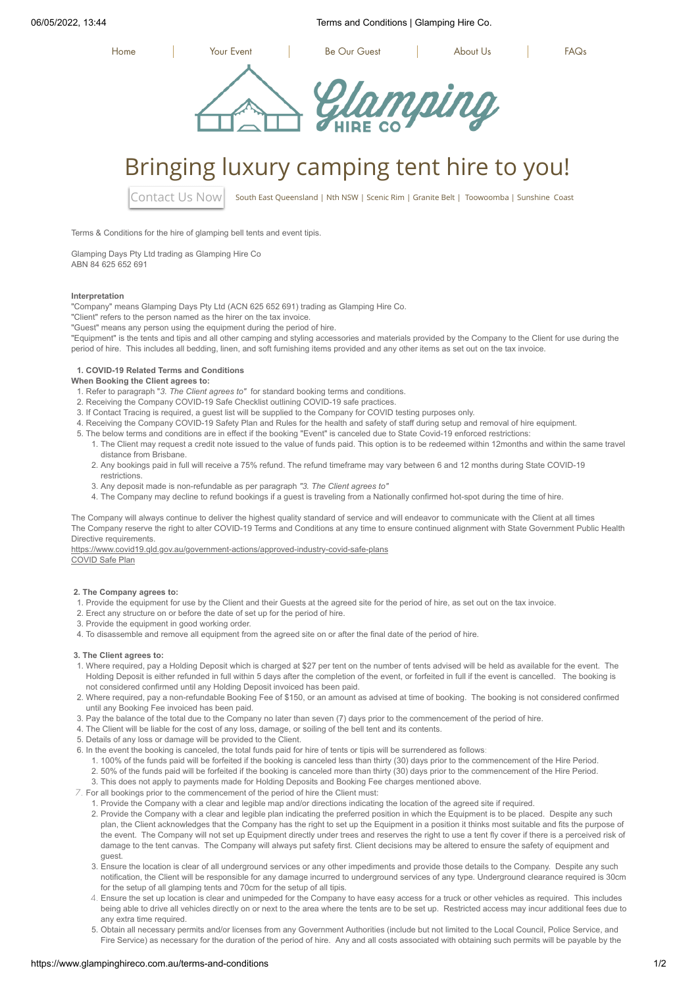06/05/2022, 13:44 Terms and Conditions | Glamping Hire Co.



# Bringing luxury camping tent hire to you!

[Contact Us Now](https://www.glampinghireco.com.au/contact-us) | South East Queensland | Nth NSW | Scenic Rim | Granite Belt | Toowoomba | Sunshine Coast

Terms & Conditions for the hire of glamping bell tents and event tipis.

Glamping Days Pty Ltd trading as Glamping Hire Co ABN 84 625 652 691

#### **Interpretation**

"Company" means Glamping Days Pty Ltd (ACN 625 652 691) trading as Glamping Hire Co.

"Client" refers to the person named as the hirer on the tax invoice.

"Guest" means any person using the equipment during the period of hire.

"Equipment" is the tents and tipis and all other camping and styling accessories and materials provided by the Company to the Client for use during the period of hire. This includes all bedding, linen, and soft furnishing items provided and any other items as set out on the tax invoice.

## **1. COVID-19 Related Terms and Conditions**

#### **When Booking the Client agrees to:**

- 1. Refer to paragraph "*3. The Client agrees to"* for standard booking terms and conditions.
- 2. Receiving the Company COVID-19 Safe Checklist outlining COVID-19 safe practices.
- 3. If Contact Tracing is required, a guest list will be supplied to the Company for COVID testing purposes only.
- 4. Receiving the Company COVID-19 Safety Plan and Rules for the health and safety of staff during setup and removal of hire equipment.
- 5. The below terms and conditions are in effect if the booking "Event" is canceled due to State Covid-19 enforced restrictions:
- 1. The Client may request a credit note issued to the value of funds paid. This option is to be redeemed within 12months and within the same travel distance from Brisbane.
	- 2. Any bookings paid in full will receive a 75% refund. The refund timeframe may vary between 6 and 12 months during State COVID-19 restrictions.
- 3. Any deposit made is non-refundable as per paragraph *"3. The Client agrees to"*
- 4. The Company may decline to refund bookings if a guest is traveling from a Nationally confirmed hot-spot during the time of hire.

The Company will always continue to deliver the highest quality standard of service and will endeavor to communicate with the Client at all times The Company reserve the right to alter COVID-19 Terms and Conditions at any time to ensure continued alignment with State Government Public Health Directive requirements

<https://www.covid19.qld.gov.au/government-actions/approved-industry-covid-safe-plans> [COVID Safe Plan](https://www.glampinghireco.com.au/)

#### **2. The Company agrees to:**

- 1. Provide the equipment for use by the Client and their Guests at the agreed site for the period of hire, as set out on the tax invoice.
- 2. Erect any structure on or before the date of set up for the period of hire.
- 3. Provide the equipment in good working order.
- 4. To disassemble and remove all equipment from the agreed site on or after the final date of the period of hire.

#### **3. The Client agrees to:**

- 1. Where required, pay a Holding Deposit which is charged at \$27 per tent on the number of tents advised will be held as available for the event. The Holding Deposit is either refunded in full within 5 days after the completion of the event, or forfeited in full if the event is cancelled. The booking is not considered confirmed until any Holding Deposit invoiced has been paid.
- 2. Where required, pay a non-refundable Booking Fee of \$150, or an amount as advised at time of booking. The booking is not considered confirmed until any Booking Fee invoiced has been paid.
- 3. Pay the balance of the total due to the Company no later than seven (7) days prior to the commencement of the period of hire.
- 4. The Client will be liable for the cost of any loss, damage, or soiling of the bell tent and its contents.
- 5. Details of any loss or damage will be provided to the Client.
- 6. In the event the booking is canceled, the total funds paid for hire of tents or tipis will be surrendered as follows:
	- 1. 100% of the funds paid will be forfeited if the booking is canceled less than thirty (30) days prior to the commencement of the Hire Period.
	- 2. 50% of the funds paid will be forfeited if the booking is canceled more than thirty (30) days prior to the commencement of the Hire Period.

3. This does not apply to payments made for Holding Deposits and Booking Fee charges mentioned above.

- 7. For all bookings prior to the commencement of the period of hire the Client must:
	- 1. Provide the Company with a clear and legible map and/or directions indicating the location of the agreed site if required.
	- 2. Provide the Company with a clear and legible plan indicating the preferred position in which the Equipment is to be placed. Despite any such plan, the Client acknowledges that the Company has the right to set up the Equipment in a position it thinks most suitable and fits the purpose of the event. The Company will not set up Equipment directly under trees and reserves the right to use a tent fly cover if there is a perceived risk of damage to the tent canvas. The Company will always put safety first. Client decisions may be altered to ensure the safety of equipment and guest.
	- 3. Ensure the location is clear of all underground services or any other impediments and provide those details to the Company. Despite any such notification, the Client will be responsible for any damage incurred to underground services of any type. Underground clearance required is 30cm for the setup of all glamping tents and 70cm for the setup of all tipis.
	- 4. Ensure the set up location is clear and unimpeded for the Company to have easy access for a truck or other vehicles as required. This includes being able to drive all vehicles directly on or next to the area where the tents are to be set up. Restricted access may incur additional fees due to any extra time required.
	- 5. Obtain all necessary permits and/or licenses from any Government Authorities (include but not limited to the Local Council, Police Service, and Fire Service) as necessary for the duration of the period of hire. Any and all costs associated with obtaining such permits will be payable by the